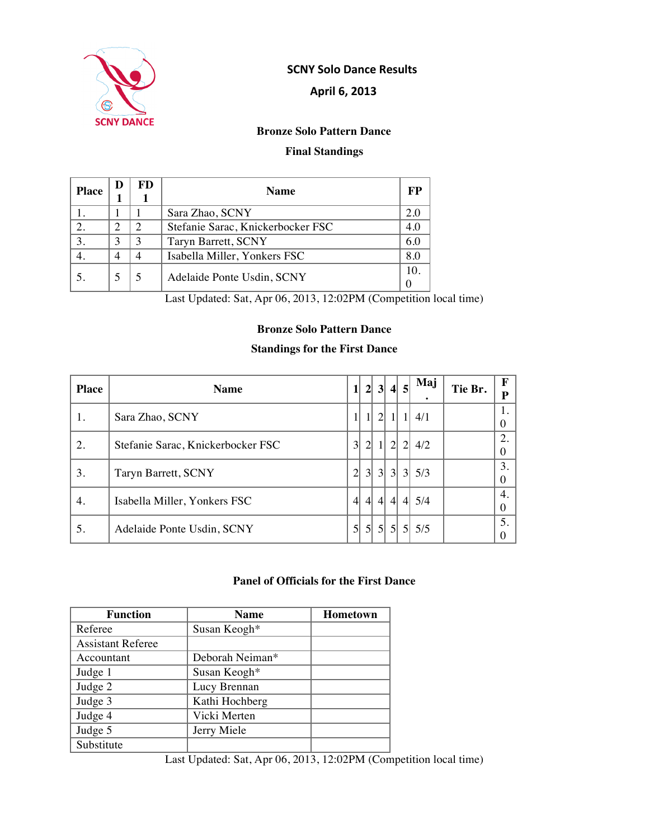

### **!!!!!!!!!!!!!!!!!!!!!!!!!!!!!!!!!!!!!!!!!!SCNY!Solo!Dance Results**

### **April 6, 2013**

### **Bronze Solo Pattern Dance**

# **Final Standings**

| <b>Place</b> | D | FD. | <b>Name</b>                       | FP  |
|--------------|---|-----|-----------------------------------|-----|
|              |   |     | Sara Zhao, SCNY                   | 2.0 |
|              |   |     | Stefanie Sarac, Knickerbocker FSC | 4.0 |
|              |   |     | Taryn Barrett, SCNY               | 6.0 |
|              | 4 |     | Isabella Miller, Yonkers FSC      | 8.0 |
|              |   |     | Adelaide Ponte Usdin, SCNY        | 10  |

Last Updated: Sat, Apr 06, 2013, 12:02PM (Competition local time)

### **Bronze Solo Pattern Dance**

### **Standings for the First Dance**

| <b>Place</b> | <b>Name</b>                       | $\mathbf{1}$    |                | 2 3 4            |                  | 5              | Maj                        | Tie Br. | F<br>P  |
|--------------|-----------------------------------|-----------------|----------------|------------------|------------------|----------------|----------------------------|---------|---------|
|              | Sara Zhao, SCNY                   | 11              | 11             | $\overline{2}$   |                  |                | 4/1                        |         | 0       |
| 2.           | Stefanie Sarac, Knickerbocker FSC | $\vert 3 \vert$ | $\overline{2}$ |                  | $\overline{2}$   | $\overline{2}$ | 4/2                        |         | 2.<br>0 |
| 3.           | Taryn Barrett, SCNY               | $\overline{2}$  | 3 <sup>l</sup> | 3 <sup>l</sup>   | 3 <sup>l</sup>   |                | 3 5/3                      |         | 3.<br>0 |
| 4.           | Isabella Miller, Yonkers FSC      | $\overline{4}$  | $\overline{4}$ | $\left 4\right $ | $\left 4\right $ |                | 4 5/4                      |         | 4.<br>0 |
| 5.           | Adelaide Ponte Usdin, SCNY        | 5 <sup>1</sup>  |                |                  |                  |                | $5 $ 5 $ $ 5 $ $ 5 $ $ 5/5 |         | 5.      |

#### **Panel of Officials for the First Dance**

| <b>Function</b>          | <b>Name</b>     | <b>Hometown</b> |
|--------------------------|-----------------|-----------------|
| Referee                  | Susan Keogh*    |                 |
| <b>Assistant Referee</b> |                 |                 |
| Accountant               | Deborah Neiman* |                 |
| Judge 1                  | Susan Keogh*    |                 |
| Judge 2                  | Lucy Brennan    |                 |
| Judge 3                  | Kathi Hochberg  |                 |
| Judge 4                  | Vicki Merten    |                 |
| Judge 5                  | Jerry Miele     |                 |
| Substitute               |                 |                 |

Last Updated: Sat, Apr 06, 2013, 12:02PM (Competition local time)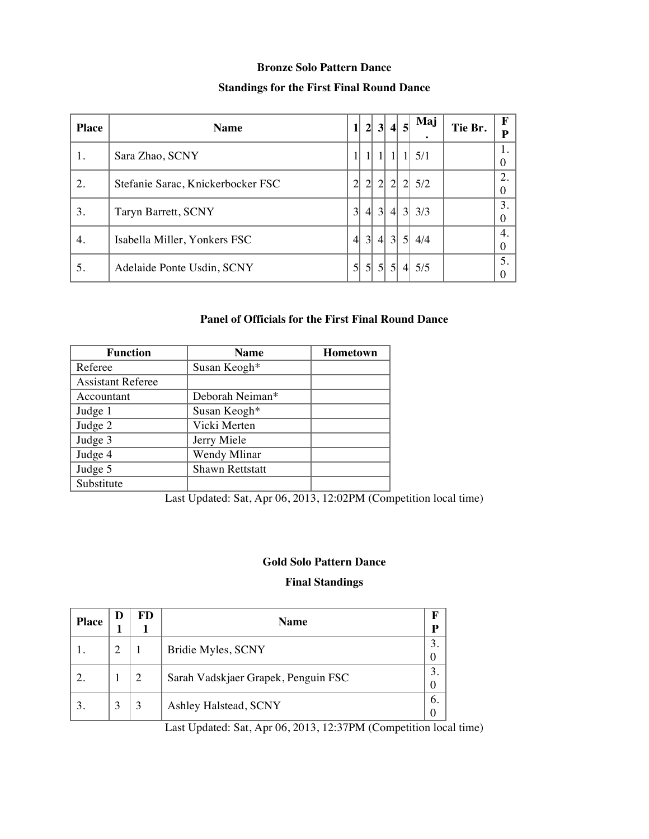#### **Bronze Solo Pattern Dance**

### **Standings for the First Final Round Dance**

| <b>Place</b> | <b>Name</b>                       | 11               | $\mathbf{2}$    |                 |              | 3 4 5             | Maj       | Tie Br. | F<br>P         |
|--------------|-----------------------------------|------------------|-----------------|-----------------|--------------|-------------------|-----------|---------|----------------|
| 1.           | Sara Zhao, SCNY                   |                  |                 |                 | $\mathbf{1}$ | 11                | 5/1       |         | 1.<br>$\Omega$ |
| 2.           | Stefanie Sarac, Knickerbocker FSC | $\overline{2}$   | $\overline{2}$  |                 |              |                   | 2 2 2 5/2 |         | 2.<br>$\Omega$ |
| 3.           | Taryn Barrett, SCNY               | $\vert 3 \vert$  | $\overline{4}$  | $\vert 3 \vert$ |              | $4 \vert 3 \vert$ | 3/3       |         | 3.<br>$\Omega$ |
| 4.           | Isabella Miller, Yonkers FSC      | $\left 4\right $ | $\overline{3}$  |                 |              | 4 3 5             | 4/4       |         | 4.<br>$\Omega$ |
| 5.           | Adelaide Ponte Usdin, SCNY        | $\mathcal{S}$    | $\mathfrak{sl}$ |                 |              |                   | 5 5 4 5/5 |         | 5.             |

#### **Panel of Officials for the First Final Round Dance**

| <b>Function</b>          | <b>Name</b>            | <b>Hometown</b> |
|--------------------------|------------------------|-----------------|
| Referee                  | Susan Keogh*           |                 |
| <b>Assistant Referee</b> |                        |                 |
| Accountant               | Deborah Neiman*        |                 |
| Judge 1                  | Susan Keogh*           |                 |
| Judge 2                  | Vicki Merten           |                 |
| Judge 3                  | Jerry Miele            |                 |
| Judge 4                  | Wendy Mlinar           |                 |
| Judge 5                  | <b>Shawn Rettstatt</b> |                 |
| Substitute               |                        |                 |

Last Updated: Sat, Apr 06, 2013, 12:02PM (Competition local time)

### **Gold Solo Pattern Dance**

### **Final Standings**

| <b>Place</b> | Ð | FD.            | <b>Name</b>                         | F<br>Р |
|--------------|---|----------------|-------------------------------------|--------|
|              | 2 |                | Bridie Myles, SCNY                  | 3      |
|              |   | $\overline{2}$ | Sarah Vadskjaer Grapek, Penguin FSC | 3      |
|              | 3 | 3              | Ashley Halstead, SCNY               | 6.     |

Last Updated: Sat, Apr 06, 2013, 12:37PM (Competition local time)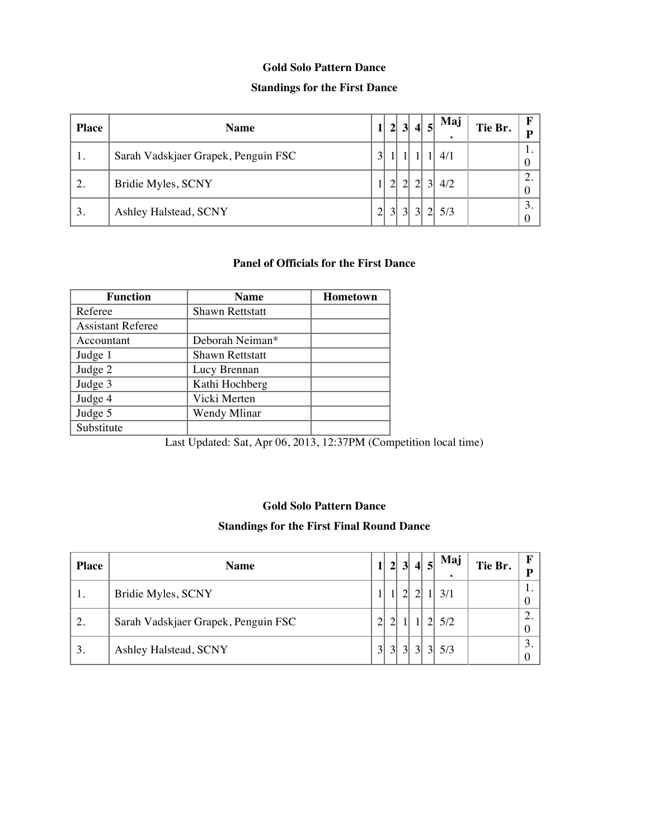#### **Gold Solo Pattern Dance**

### **Standings for the First Dance**

| <b>Place</b> | <b>Name</b>                         | $1\vert$       | 2 <sup>1</sup>  |                |                | 3 4 5    | Maj<br>$\bullet$ | Tie Br. | D        |
|--------------|-------------------------------------|----------------|-----------------|----------------|----------------|----------|------------------|---------|----------|
| 1.           | Sarah Vadskjaer Grapek, Penguin FSC | 3              |                 |                |                |          | 4/1              |         | . .<br>O |
| 2.           | Bridie Myles, SCNY                  |                | $\overline{2}$  | 2 <sup>1</sup> | 2 <sup>1</sup> |          | 3 4/2            |         | ◠<br>0   |
| 3.           | Ashley Halstead, SCNY               | $\overline{2}$ | $\vert 3 \vert$ |                | 3 3            | $2\vert$ | 5/3              |         | 3.       |

# **Panel of Officials for the First Dance**

| <b>Function</b>          | <b>Name</b>            | Hometown |
|--------------------------|------------------------|----------|
| Referee                  | <b>Shawn Rettstatt</b> |          |
| <b>Assistant Referee</b> |                        |          |
| Accountant               | Deborah Neiman*        |          |
| Judge 1                  | <b>Shawn Rettstatt</b> |          |
| Judge 2                  | Lucy Brennan           |          |
| Judge 3                  | Kathi Hochberg         |          |
| Judge 4                  | Vicki Merten           |          |
| Judge 5                  | Wendy Mlinar           |          |
| Substitute               |                        |          |

Last Updated: Sat, Apr 06, 2013, 12:37PM (Competition local time)

#### **Gold Solo Pattern Dance**

#### **Standings for the First Final Round Dance**

| <b>Place</b> | <b>Name</b>                         |                | $\mathbf{2}$   | 3 <sup>l</sup> | 4 5 | Maj<br>$\bullet$ | Tie Br. | $\mathbf{F}$<br>p |
|--------------|-------------------------------------|----------------|----------------|----------------|-----|------------------|---------|-------------------|
| 1.           | Bridie Myles, SCNY                  |                |                |                |     |                  |         | 1.<br>$\theta$    |
| 2.           | Sarah Vadskjaer Grapek, Penguin FSC |                |                |                |     | 5/2              |         | 2.<br>0           |
| 3.           | Ashley Halstead, SCNY               | 3 <sup>l</sup> | $\overline{3}$ | $\overline{3}$ |     | 5/3              |         | 3.<br>0           |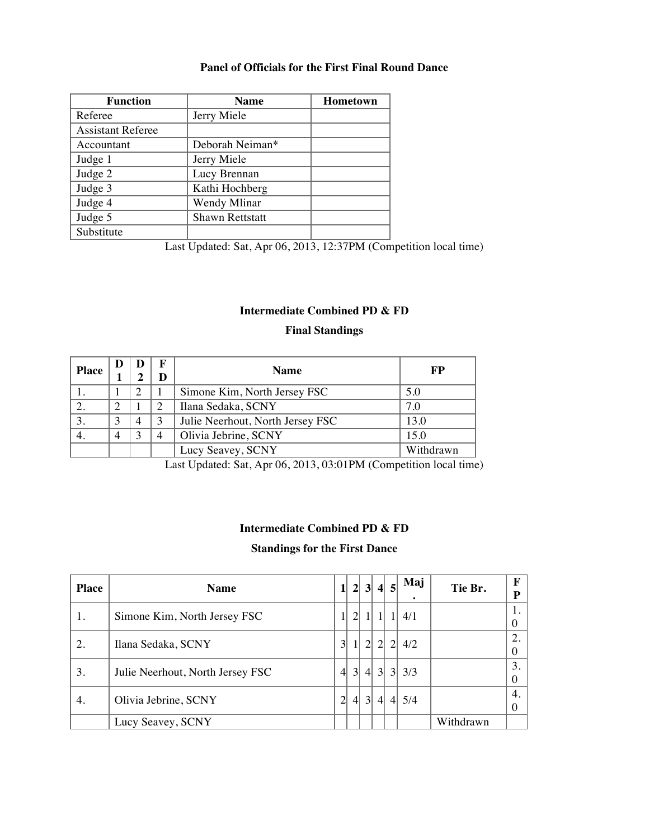# **Panel of Officials for the First Final Round Dance**

| <b>Function</b>          | <b>Name</b>            | <b>Hometown</b> |
|--------------------------|------------------------|-----------------|
| Referee                  | Jerry Miele            |                 |
| <b>Assistant Referee</b> |                        |                 |
| Accountant               | Deborah Neiman*        |                 |
| Judge 1                  | Jerry Miele            |                 |
| Judge 2                  | Lucy Brennan           |                 |
| Judge 3                  | Kathi Hochberg         |                 |
| Judge 4                  | Wendy Mlinar           |                 |
| Judge 5                  | <b>Shawn Rettstatt</b> |                 |
| Substitute               |                        |                 |

Last Updated: Sat, Apr 06, 2013, 12:37PM (Competition local time)

## **Intermediate Combined PD & FD**

### **Final Standings**

| <b>Place</b> |                |                |   | <b>Name</b>                      | FP        |
|--------------|----------------|----------------|---|----------------------------------|-----------|
|              |                | റ              |   | Simone Kim, North Jersey FSC     | 5.0       |
|              |                |                | ာ | Ilana Sedaka, SCNY               | 7.0       |
|              | 3              | $\overline{4}$ | 3 | Julie Neerhout, North Jersey FSC | 13.0      |
|              | $\overline{4}$ | っ              | 4 | Olivia Jebrine, SCNY             | 15.0      |
|              |                |                |   | Lucy Seavey, SCNY                | Withdrawn |

Last Updated: Sat, Apr 06, 2013, 03:01PM (Competition local time)

#### **Intermediate Combined PD & FD**

#### **Standings for the First Dance**

| <b>Place</b> | <b>Name</b>                      | 11               |                | 2 3              | $\vert$ 4        | $\vert$ 5        | Maj   | Tie Br.   | F<br>P               |
|--------------|----------------------------------|------------------|----------------|------------------|------------------|------------------|-------|-----------|----------------------|
| -1.          | Simone Kim, North Jersey FSC     | Ι.               | $\overline{2}$ | $\mathbf{1}$     |                  |                  | 4/1   |           | 1.<br>$\overline{0}$ |
| 2.           | Ilana Sedaka, SCNY               | $\overline{3}$   |                | $2\vert$         | <sup>2</sup>     | $\overline{2}$   | 4/2   |           | 2.<br>$\overline{0}$ |
| 3.           | Julie Neerhout, North Jersey FSC | $\left 4\right $ | 3 <sup>l</sup> | $\left 4\right $ | 3                |                  | 3 3/3 |           | 3.<br>$\overline{0}$ |
| 4.           | Olivia Jebrine, SCNY             | $\overline{2}$   | $\overline{4}$ | 3                | $\left  \right $ | $\left 4\right $ | 5/4   |           | 4.<br>$\overline{0}$ |
|              | Lucy Seavey, SCNY                |                  |                |                  |                  |                  |       | Withdrawn |                      |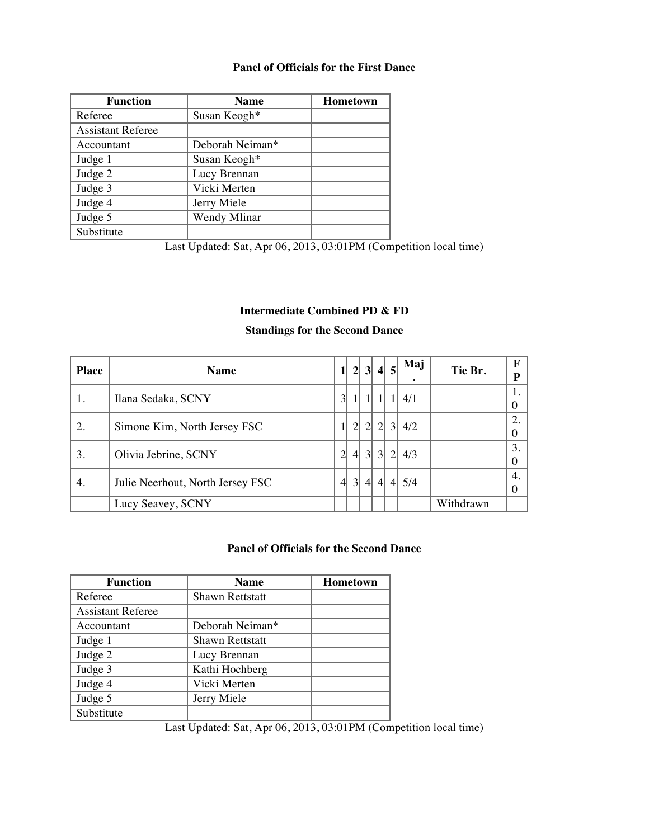#### **Panel of Officials for the First Dance**

| <b>Function</b>          | <b>Name</b>     | <b>Hometown</b> |
|--------------------------|-----------------|-----------------|
| Referee                  | Susan Keogh*    |                 |
| <b>Assistant Referee</b> |                 |                 |
| Accountant               | Deborah Neiman* |                 |
| Judge 1                  | Susan Keogh*    |                 |
| Judge 2                  | Lucy Brennan    |                 |
| Judge 3                  | Vicki Merten    |                 |
| Judge 4                  | Jerry Miele     |                 |
| Judge 5                  | Wendy Mlinar    |                 |
| Substitute               |                 |                 |

Last Updated: Sat, Apr 06, 2013, 03:01PM (Competition local time)

### **Intermediate Combined PD & FD**

#### **Standings for the Second Dance**

| <b>Place</b> | <b>Name</b>                      | 1              | $\mathbf{2}$    | 3                | $\vert 4 \vert$  | 5              | Maj<br>٠ | Tie Br.   | $\mathbf F$<br>P       |
|--------------|----------------------------------|----------------|-----------------|------------------|------------------|----------------|----------|-----------|------------------------|
|              | Ilana Sedaka, SCNY               | $\overline{3}$ |                 |                  |                  |                | 4/1      |           | 1.<br>$\theta$         |
| 2.           | Simone Kim, North Jersey FSC     |                | $\overline{2}$  | $\vert$ 2        | $\vert$ 2        | 3              | 4/2      |           | 2.<br>$\theta$         |
| 3.           | Olivia Jebrine, SCNY             | $\overline{2}$ | $\overline{4}$  | $\vert$ 3        | $\vert$ 3        | $\sqrt{2}$     | 4/3      |           | 3.<br>$\boldsymbol{0}$ |
| 4.           | Julie Neerhout, North Jersey FSC | $\overline{4}$ | $\vert 3 \vert$ | $\left 4\right $ | $\left 4\right $ | $\overline{4}$ | 5/4      |           | 4.<br>$\theta$         |
|              | Lucy Seavey, SCNY                |                |                 |                  |                  |                |          | Withdrawn |                        |

### **Panel of Officials for the Second Dance**

| <b>Function</b>          | <b>Name</b>            | <b>Hometown</b> |
|--------------------------|------------------------|-----------------|
| Referee                  | <b>Shawn Rettstatt</b> |                 |
| <b>Assistant Referee</b> |                        |                 |
| Accountant               | Deborah Neiman*        |                 |
| Judge 1                  | <b>Shawn Rettstatt</b> |                 |
| Judge 2                  | Lucy Brennan           |                 |
| Judge 3                  | Kathi Hochberg         |                 |
| Judge 4                  | Vicki Merten           |                 |
| Judge 5                  | Jerry Miele            |                 |
| Substitute               |                        |                 |

Last Updated: Sat, Apr 06, 2013, 03:01PM (Competition local time)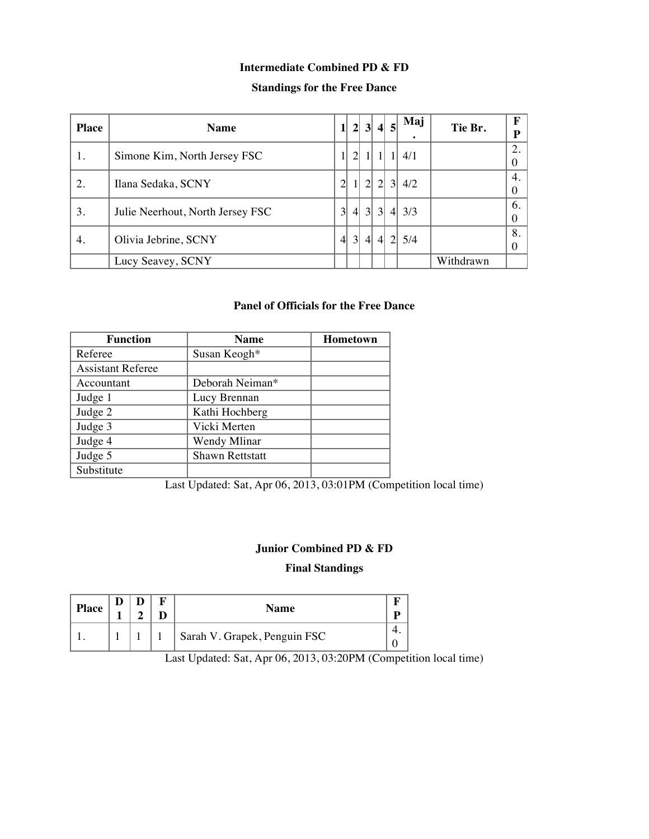# **Intermediate Combined PD & FD**

# **Standings for the Free Dance**

| <b>Place</b> | <b>Name</b>                      |                |                  |                |                | 2 3 4 5       | Maj   | Tie Br.   | F<br>D         |
|--------------|----------------------------------|----------------|------------------|----------------|----------------|---------------|-------|-----------|----------------|
| 1.           | Simone Kim, North Jersey FSC     |                | $\overline{2}$   |                |                |               | 4/1   |           | 2.<br>$\Omega$ |
| 2.           | Ilana Sedaka, SCNY               | $\overline{2}$ |                  |                |                | 2 2 3         | 4/2   |           | 4.<br>$\theta$ |
| 3.           | Julie Neerhout, North Jersey FSC | $\overline{3}$ | $\left 4\right $ |                | 3 3            |               | 4 3/3 |           | 6.<br>$\Omega$ |
| 4.           | Olivia Jebrine, SCNY             | $\overline{4}$ | $\overline{3}$   | $\overline{4}$ | $\overline{4}$ | $\mathcal{D}$ | 5/4   |           | 8.<br>$\Omega$ |
|              | Lucy Seavey, SCNY                |                |                  |                |                |               |       | Withdrawn |                |

### **Panel of Officials for the Free Dance**

| <b>Function</b>          | <b>Name</b>     | <b>Hometown</b> |
|--------------------------|-----------------|-----------------|
| Referee                  | Susan Keogh*    |                 |
| <b>Assistant Referee</b> |                 |                 |
| Accountant               | Deborah Neiman* |                 |
| Judge 1                  | Lucy Brennan    |                 |
| Judge 2                  | Kathi Hochberg  |                 |
| Judge 3                  | Vicki Merten    |                 |
| Judge 4                  | Wendy Mlinar    |                 |
| Judge 5                  | Shawn Rettstatt |                 |
| Substitute               |                 |                 |

Last Updated: Sat, Apr 06, 2013, 03:01PM (Competition local time)

### **Junior Combined PD & FD**

#### **Final Standings**

| <b>Place</b> |  | Name                         |  |
|--------------|--|------------------------------|--|
|              |  | Sarah V. Grapek, Penguin FSC |  |

Last Updated: Sat, Apr 06, 2013, 03:20PM (Competition local time)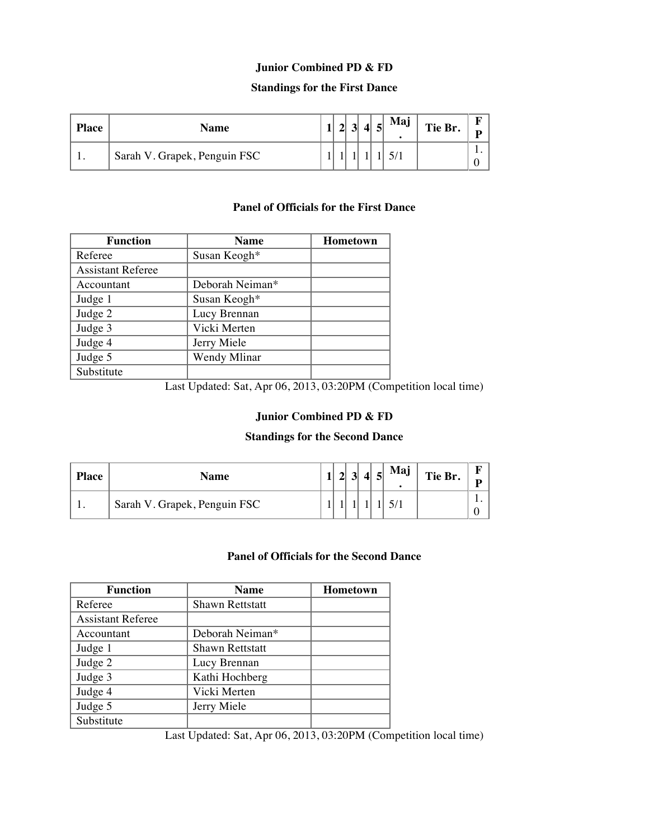### **Junior Combined PD & FD**

#### **Standings for the First Dance**

| <b>Place</b> | Name                         |  | .J. | Ε | Maj | Tie Br. | Б<br>n |
|--------------|------------------------------|--|-----|---|-----|---------|--------|
|              | Sarah V. Grapek, Penguin FSC |  |     |   |     |         | . .    |

#### **Panel of Officials for the First Dance**

| Function                 | <b>Name</b>     | <b>Hometown</b> |
|--------------------------|-----------------|-----------------|
| Referee                  | Susan Keogh*    |                 |
| <b>Assistant Referee</b> |                 |                 |
| Accountant               | Deborah Neiman* |                 |
| Judge 1                  | Susan Keogh*    |                 |
| Judge 2                  | Lucy Brennan    |                 |
| Judge 3                  | Vicki Merten    |                 |
| Judge 4                  | Jerry Miele     |                 |
| Judge 5                  | Wendy Mlinar    |                 |
| Substitute               |                 |                 |

Last Updated: Sat, Apr 06, 2013, 03:20PM (Competition local time)

### **Junior Combined PD & FD**

### **Standings for the Second Dance**

| <b>Place</b> | Name                         |  | J. |  | Maj<br>$\bullet$ | Tie Br. | ю<br>D |
|--------------|------------------------------|--|----|--|------------------|---------|--------|
| . .          | Sarah V. Grapek, Penguin FSC |  |    |  |                  |         |        |

#### **Panel of Officials for the Second Dance**

| <b>Function</b>          | <b>Name</b>            | <b>Hometown</b> |
|--------------------------|------------------------|-----------------|
| Referee                  | <b>Shawn Rettstatt</b> |                 |
| <b>Assistant Referee</b> |                        |                 |
| Accountant               | Deborah Neiman*        |                 |
| Judge 1                  | <b>Shawn Rettstatt</b> |                 |
| Judge 2                  | Lucy Brennan           |                 |
| Judge 3                  | Kathi Hochberg         |                 |
| Judge 4                  | Vicki Merten           |                 |
| Judge 5                  | Jerry Miele            |                 |
| Substitute               |                        |                 |

Last Updated: Sat, Apr 06, 2013, 03:20PM (Competition local time)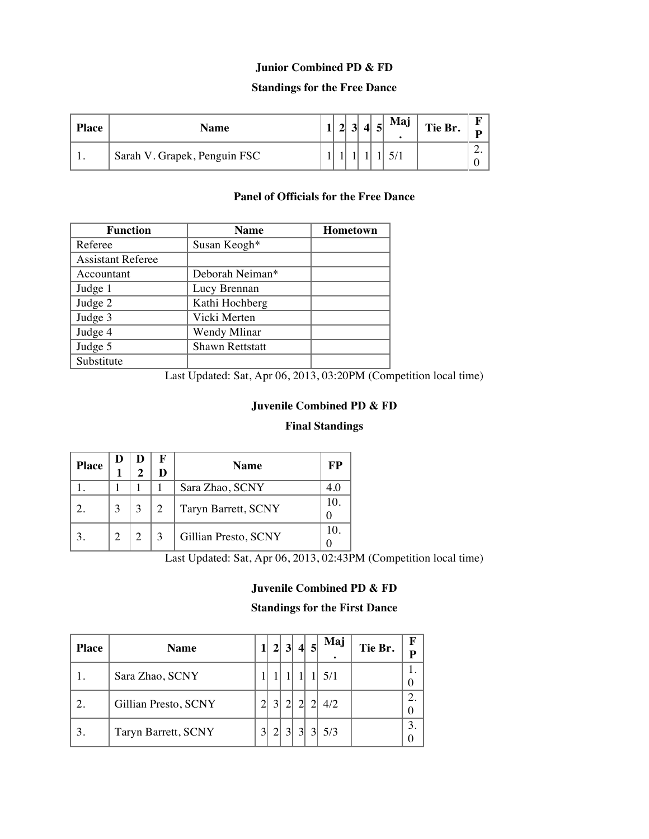### **Junior Combined PD & FD**

#### **Standings for the Free Dance**

| <b>Place</b> | Name                         |  |  | Maj | Tie Br. | ш<br>n |
|--------------|------------------------------|--|--|-----|---------|--------|
| . .          | Sarah V. Grapek, Penguin FSC |  |  |     |         | ـ _    |

#### **Panel of Officials for the Free Dance**

| <b>Function</b>          | <b>Name</b>            | Hometown |
|--------------------------|------------------------|----------|
| Referee                  | Susan Keogh*           |          |
| <b>Assistant Referee</b> |                        |          |
| Accountant               | Deborah Neiman*        |          |
| Judge 1                  | Lucy Brennan           |          |
| Judge 2                  | Kathi Hochberg         |          |
| Judge 3                  | Vicki Merten           |          |
| Judge 4                  | Wendy Mlinar           |          |
| Judge 5                  | <b>Shawn Rettstatt</b> |          |
| Substitute               |                        |          |

Last Updated: Sat, Apr 06, 2013, 03:20PM (Competition local time)

### **Juvenile Combined PD & FD**

#### **Final Standings**

| <b>Place</b> |   | σ |                | <b>Name</b>          | FP |
|--------------|---|---|----------------|----------------------|----|
|              |   |   |                | Sara Zhao, SCNY      |    |
|              | 3 | 3 | $\overline{2}$ | Taryn Barrett, SCNY  |    |
|              | ↑ | 2 |                | Gillian Presto, SCNY | 10 |

Last Updated: Sat, Apr 06, 2013, 02:43PM (Competition local time)

### **Juvenile Combined PD & FD**

#### **Standings for the First Dance**

| <b>Place</b> | <b>Name</b>          | $\overline{2}$ |                |           | 3 4 5           | Maj | Tie Br. | F<br>p |
|--------------|----------------------|----------------|----------------|-----------|-----------------|-----|---------|--------|
|              | Sara Zhao, SCNY      |                |                |           |                 | 5/1 |         |        |
| 2.           | Gillian Presto, SCNY | $\overline{3}$ | $\overline{2}$ |           | $\mathfrak{D}$  | 4/2 |         |        |
| 3.           | Taryn Barrett, SCNY  | $\overline{2}$ | 3 <sup>l</sup> | $\vert$ 3 | $\vert 3 \vert$ | 5/3 |         |        |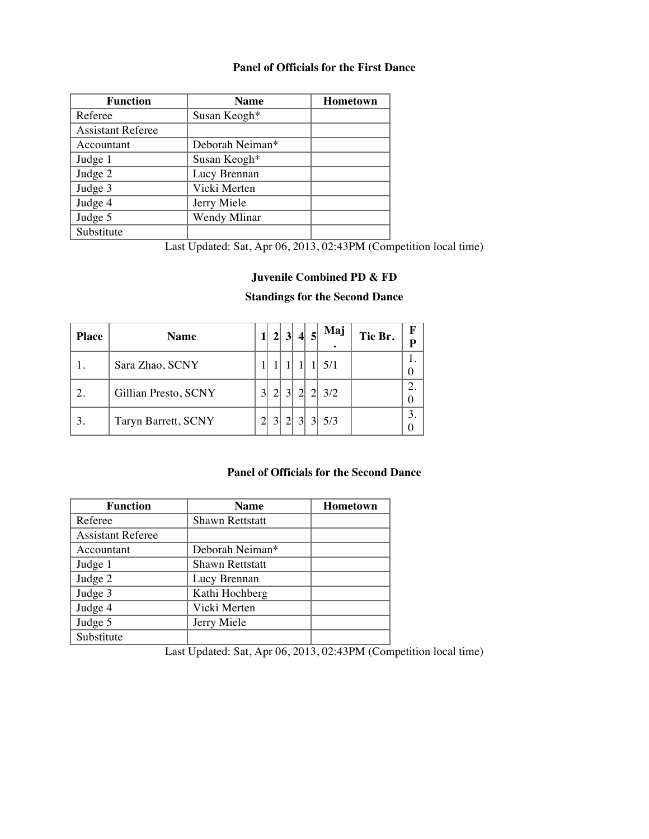#### **Panel of Officials for the First Dance**

| <b>Function</b>          | <b>Name</b>     | <b>Hometown</b> |
|--------------------------|-----------------|-----------------|
| Referee                  | Susan Keogh*    |                 |
| <b>Assistant Referee</b> |                 |                 |
| Accountant               | Deborah Neiman* |                 |
| Judge 1                  | Susan Keogh*    |                 |
| Judge 2                  | Lucy Brennan    |                 |
| Judge 3                  | Vicki Merten    |                 |
| Judge 4                  | Jerry Miele     |                 |
| Judge 5                  | Wendy Mlinar    |                 |
| Substitute               |                 |                 |

Last Updated: Sat, Apr 06, 2013, 02:43PM (Competition local time)

### **Juvenile Combined PD & FD**

#### **Standings for the Second Dance**

| <b>Place</b> | <b>Name</b>          |                | 2 3            | $\vert$ 4       | -51 | Maj | Tie Br. | F |
|--------------|----------------------|----------------|----------------|-----------------|-----|-----|---------|---|
|              | Sara Zhao, SCNY      |                |                |                 |     | 5/1 |         |   |
| 2.           | Gillian Presto, SCNY | $\overline{2}$ | 3 <sup>1</sup> | $\overline{2}$  |     | 3/2 |         |   |
| 3.           | Taryn Barrett, SCNY  | $\frac{3}{2}$  | $\overline{2}$ | $\vert 3 \vert$ |     | 5/3 |         | ⌒ |

### **Panel of Officials for the Second Dance**

| <b>Function</b>          | <b>Name</b>            | <b>Hometown</b> |
|--------------------------|------------------------|-----------------|
| Referee                  | <b>Shawn Rettstatt</b> |                 |
| <b>Assistant Referee</b> |                        |                 |
| Accountant               | Deborah Neiman*        |                 |
| Judge 1                  | <b>Shawn Rettstatt</b> |                 |
| Judge 2                  | Lucy Brennan           |                 |
| Judge 3                  | Kathi Hochberg         |                 |
| Judge 4                  | Vicki Merten           |                 |
| Judge 5                  | Jerry Miele            |                 |
| Substitute               |                        |                 |

Last Updated: Sat, Apr 06, 2013, 02:43PM (Competition local time)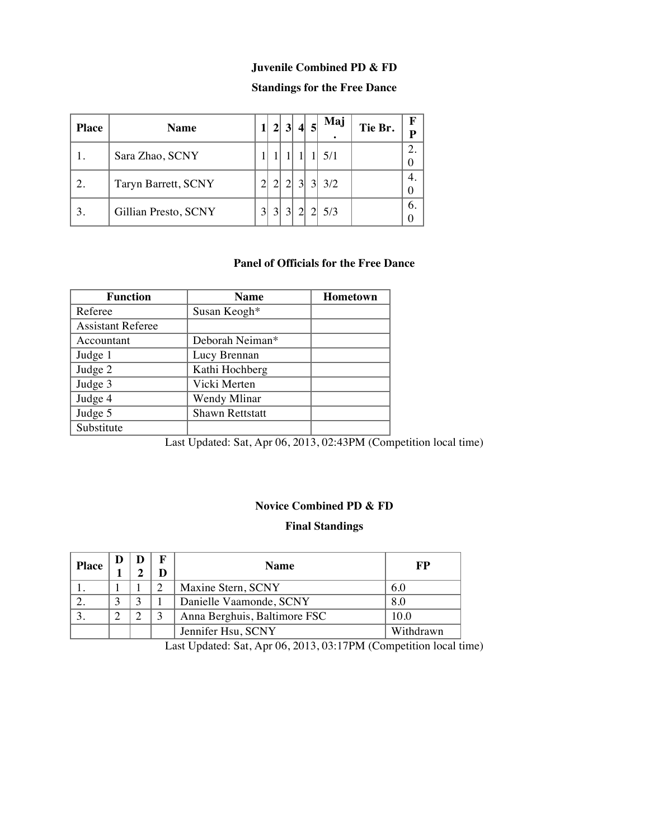#### **Juvenile Combined PD & FD**

# **Standings for the Free Dance**

| <b>Place</b>                | <b>Name</b>          |              | 2 3            | $\vert$ 4       | Maj   | Tie Br. | F |
|-----------------------------|----------------------|--------------|----------------|-----------------|-------|---------|---|
|                             | Sara Zhao, SCNY      |              |                |                 | 5/1   |         |   |
| $\mathcal{D}_{\mathcal{L}}$ | Taryn Barrett, SCNY  |              | $\overline{2}$ | $\vert 3 \vert$ | 3 3/2 |         |   |
|                             | Gillian Presto, SCNY | $\mathbf{a}$ | $\overline{3}$ | $\overline{2}$  | 5/3   |         |   |

# **Panel of Officials for the Free Dance**

| <b>Function</b>          | <b>Name</b>            | Hometown |
|--------------------------|------------------------|----------|
| Referee                  | Susan Keogh*           |          |
| <b>Assistant Referee</b> |                        |          |
| Accountant               | Deborah Neiman*        |          |
| Judge 1                  | Lucy Brennan           |          |
| Judge 2                  | Kathi Hochberg         |          |
| Judge 3                  | Vicki Merten           |          |
| Judge 4                  | Wendy Mlinar           |          |
| Judge 5                  | <b>Shawn Rettstatt</b> |          |
| Substitute               |                        |          |

Last Updated: Sat, Apr 06, 2013, 02:43PM (Competition local time)

#### **Novice Combined PD & FD**

#### **Final Standings**

| <b>Place</b> |  | <b>Name</b>                  | FP        |
|--------------|--|------------------------------|-----------|
|              |  | Maxine Stern, SCNY           | 6.0       |
|              |  | Danielle Vaamonde, SCNY      | 8.0       |
|              |  | Anna Berghuis, Baltimore FSC | 10.0      |
|              |  | Jennifer Hsu, SCNY           | Withdrawn |

Last Updated: Sat, Apr 06, 2013, 03:17PM (Competition local time)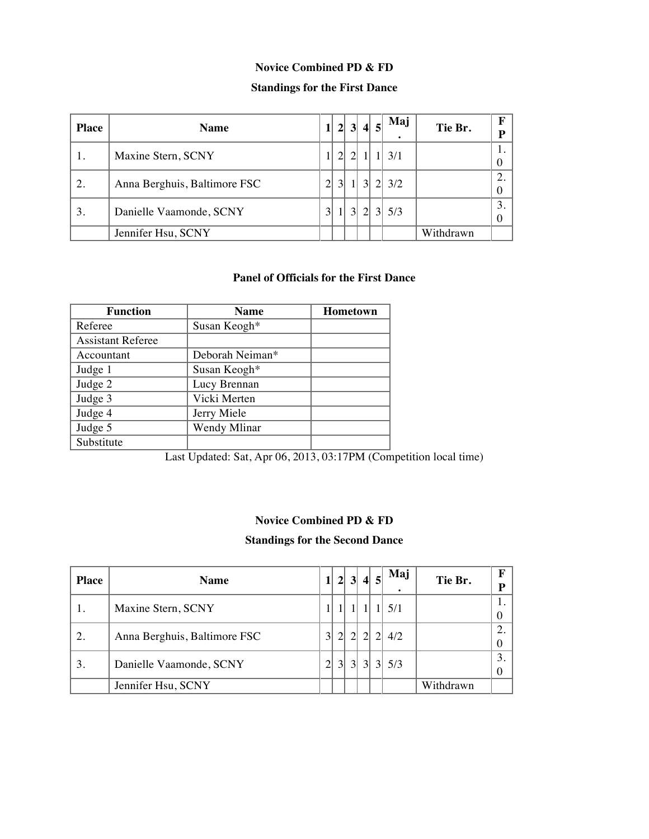### **Novice Combined PD & FD**

# **Standings for the First Dance**

| <b>Place</b> | <b>Name</b>                  |                |                |                | 2 3 4          |                | Maj   | Tie Br.   | F<br>D  |
|--------------|------------------------------|----------------|----------------|----------------|----------------|----------------|-------|-----------|---------|
|              | Maxine Stern, SCNY           |                | 2 <sub>1</sub> |                |                |                | 3/1   |           |         |
| 2.           | Anna Berghuis, Baltimore FSC | $\overline{2}$ | $\overline{3}$ |                | $\overline{3}$ |                | 2 3/2 |           | ◠       |
| 3.           | Danielle Vaamonde, SCNY      | 3 <sup>1</sup> |                | 3 <sup>l</sup> | $\mathcal{D}$  | 3 <sup>l</sup> | 5/3   |           | 3.<br>0 |
|              | Jennifer Hsu, SCNY           |                |                |                |                |                |       | Withdrawn |         |

#### **Panel of Officials for the First Dance**

| <b>Function</b>          | <b>Name</b>     | <b>Hometown</b> |
|--------------------------|-----------------|-----------------|
| Referee                  | Susan Keogh*    |                 |
| <b>Assistant Referee</b> |                 |                 |
| Accountant               | Deborah Neiman* |                 |
| Judge 1                  | Susan Keogh*    |                 |
| Judge 2                  | Lucy Brennan    |                 |
| Judge 3                  | Vicki Merten    |                 |
| Judge 4                  | Jerry Miele     |                 |
| Judge 5                  | Wendy Mlinar    |                 |
| Substitute               |                 |                 |

Last Updated: Sat, Apr 06, 2013, 03:17PM (Competition local time)

### **Novice Combined PD & FD**

### **Standings for the Second Dance**

| <b>Place</b> | <b>Name</b>                  |                | 2 <sup>1</sup>  | 3              | $\vert$       |               | Maj<br>٠ | Tie Br.   | $\mathbf F$<br>P       |
|--------------|------------------------------|----------------|-----------------|----------------|---------------|---------------|----------|-----------|------------------------|
|              | Maxine Stern, SCNY           |                |                 |                |               |               | 5/1      |           | $\theta$               |
| 2.           | Anna Berghuis, Baltimore FSC | 3 <sup>l</sup> | $\overline{2}$  | $\mathcal{D}$  |               |               | 4/2      |           | 2.<br>$\boldsymbol{0}$ |
| 3.           | Danielle Vaamonde, SCNY      | 2 <sub>1</sub> | $\vert 3 \vert$ | $\overline{3}$ | $\mathcal{R}$ | $\frac{3}{2}$ | 5/3      |           | 3.<br>$\theta$         |
|              | Jennifer Hsu, SCNY           |                |                 |                |               |               |          | Withdrawn |                        |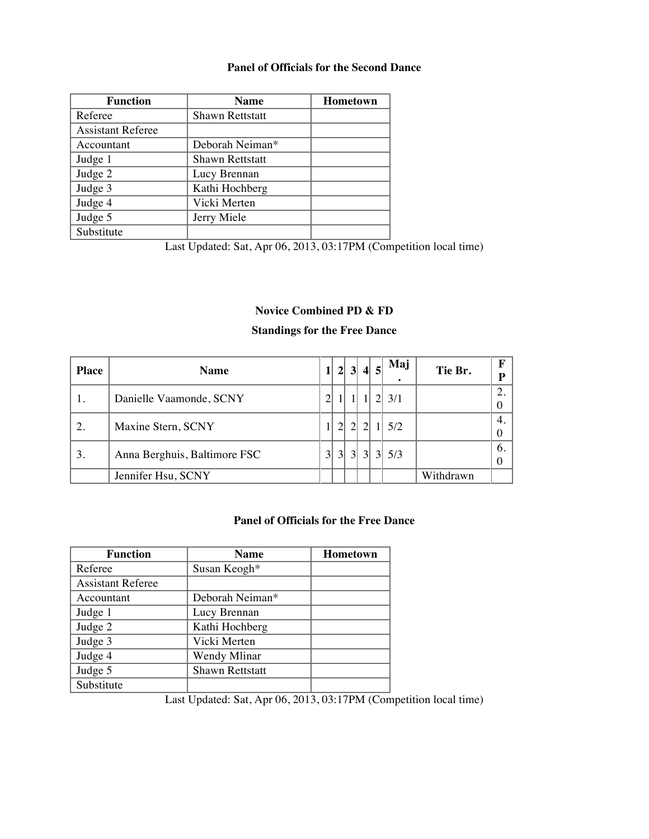#### **Panel of Officials for the Second Dance**

| <b>Function</b>          | <b>Name</b>            | Hometown |
|--------------------------|------------------------|----------|
| Referee                  | <b>Shawn Rettstatt</b> |          |
| <b>Assistant Referee</b> |                        |          |
| Accountant               | Deborah Neiman*        |          |
| Judge 1                  | <b>Shawn Rettstatt</b> |          |
| Judge 2                  | Lucy Brennan           |          |
| Judge 3                  | Kathi Hochberg         |          |
| Judge 4                  | Vicki Merten           |          |
| Judge 5                  | Jerry Miele            |          |
| Substitute               |                        |          |

Last Updated: Sat, Apr 06, 2013, 03:17PM (Competition local time)

# **Novice Combined PD & FD**

### **Standings for the Free Dance**

| <b>Place</b> | <b>Name</b>                  | 1 <sup>1</sup> |                 |                 | 2 3 4 |                | Maj<br>٠ | Tie Br.   | $\mathbf F$<br>P |
|--------------|------------------------------|----------------|-----------------|-----------------|-------|----------------|----------|-----------|------------------|
| 1.           | Danielle Vaamonde, SCNY      | $\overline{2}$ |                 |                 |       |                | 3/1      |           | 2.<br>$\theta$   |
| 2.           | Maxine Stern, SCNY           |                | 2 <sub>l</sub>  | $\mathcal{D}$   |       |                | 5/2      |           | 4.<br>$\theta$   |
| 3.           | Anna Berghuis, Baltimore FSC | 3 <sup>l</sup> | $\vert 3 \vert$ | $\vert 3 \vert$ | 3     | 3 <sup>l</sup> | 5/3      |           | 6.<br>$\theta$   |
|              | Jennifer Hsu, SCNY           |                |                 |                 |       |                |          | Withdrawn |                  |

# **Panel of Officials for the Free Dance**

| <b>Function</b>          | <b>Name</b>            | <b>Hometown</b> |
|--------------------------|------------------------|-----------------|
| Referee                  | Susan Keogh*           |                 |
| <b>Assistant Referee</b> |                        |                 |
| Accountant               | Deborah Neiman*        |                 |
| Judge 1                  | Lucy Brennan           |                 |
| Judge 2                  | Kathi Hochberg         |                 |
| Judge 3                  | Vicki Merten           |                 |
| Judge 4                  | Wendy Mlinar           |                 |
| Judge 5                  | <b>Shawn Rettstatt</b> |                 |
| Substitute               |                        |                 |

Last Updated: Sat, Apr 06, 2013, 03:17PM (Competition local time)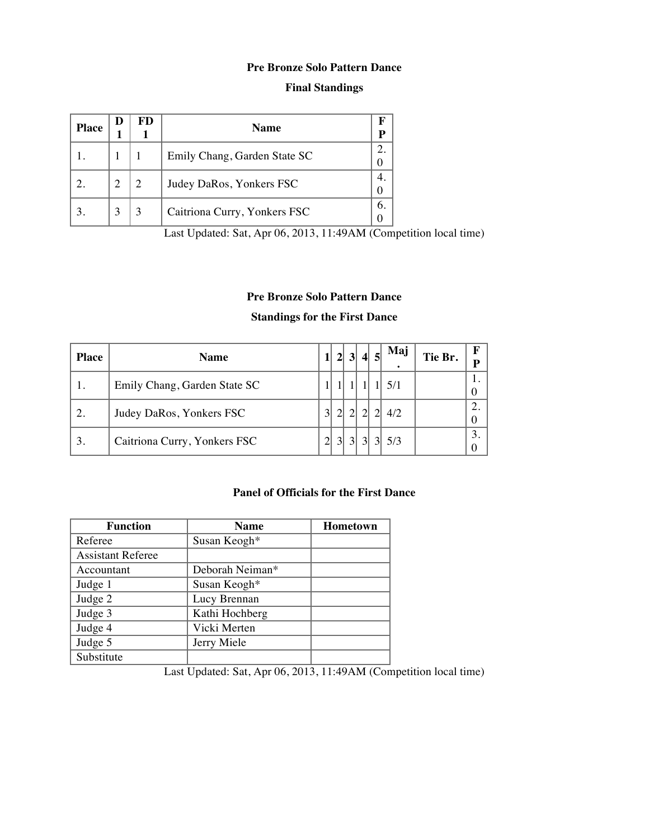#### **Pre Bronze Solo Pattern Dance**

### **Final Standings**

| <b>Place</b> | D | FD | <b>Name</b>                  |  |
|--------------|---|----|------------------------------|--|
|              |   |    | Emily Chang, Garden State SC |  |
|              |   |    | Judey DaRos, Yonkers FSC     |  |
|              |   |    | Caitriona Curry, Yonkers FSC |  |

Last Updated: Sat, Apr 06, 2013, 11:49AM (Competition local time)

# **Pre Bronze Solo Pattern Dance**

# **Standings for the First Dance**

| <b>Place</b> | <b>Name</b>                  | 2 <sup>1</sup>  | $\vert 3 \vert$ |                | 4 5 | Maj | Tie Br. | F<br>P                     |
|--------------|------------------------------|-----------------|-----------------|----------------|-----|-----|---------|----------------------------|
|              | Emily Chang, Garden State SC |                 |                 |                |     |     |         | $\theta$                   |
| 2.           | Judey DaRos, Yonkers FSC     |                 |                 |                |     | 4/2 |         | $\overline{2}$<br>$\theta$ |
| 3.           | Caitriona Curry, Yonkers FSC | $\vert 3 \vert$ | 3 <sup>l</sup>  | $\overline{3}$ |     | 5/3 |         | 3.                         |

### **Panel of Officials for the First Dance**

| <b>Function</b>          | <b>Name</b>     | <b>Hometown</b> |
|--------------------------|-----------------|-----------------|
| Referee                  | Susan Keogh*    |                 |
| <b>Assistant Referee</b> |                 |                 |
| Accountant               | Deborah Neiman* |                 |
| Judge 1                  | Susan Keogh*    |                 |
| Judge 2                  | Lucy Brennan    |                 |
| Judge 3                  | Kathi Hochberg  |                 |
| Judge 4                  | Vicki Merten    |                 |
| Judge 5                  | Jerry Miele     |                 |
| Substitute               |                 |                 |

Last Updated: Sat, Apr 06, 2013, 11:49AM (Competition local time)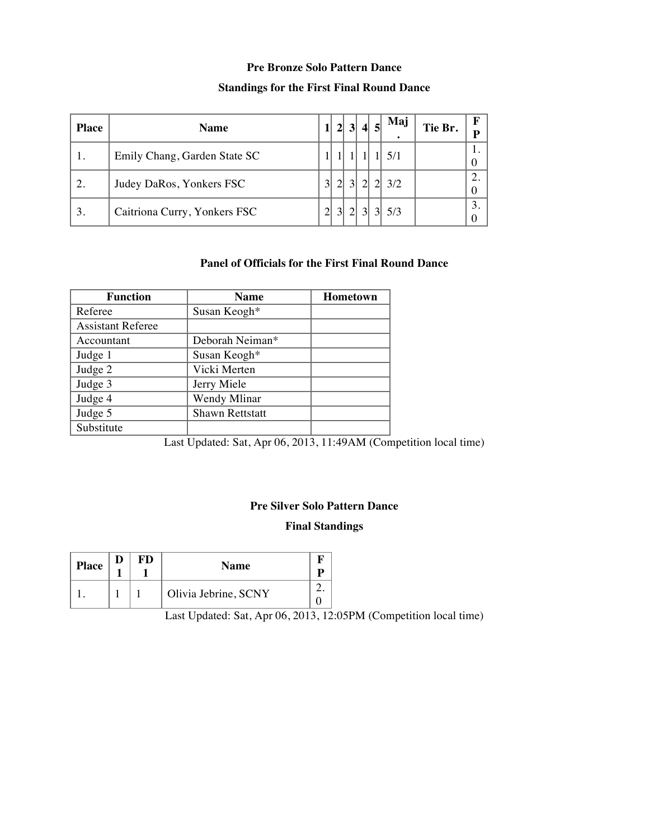#### **Pre Bronze Solo Pattern Dance**

### **Standings for the First Final Round Dance**

| <b>Place</b> | <b>Name</b>                  |                | $\overline{2}$  | 3 4            |                | Maj | Tie Br. |  |
|--------------|------------------------------|----------------|-----------------|----------------|----------------|-----|---------|--|
|              | Emily Chang, Garden State SC |                |                 |                |                | 5/1 |         |  |
| 2.           | Judey DaRos, Yonkers FSC     | 3              | $\overline{2}$  |                |                | 3/2 |         |  |
| 3.           | Caitriona Curry, Yonkers FSC | $\overline{2}$ | $\vert 3 \vert$ | 3 <sup>l</sup> | 3 <sup>l</sup> | 5/3 |         |  |

### **Panel of Officials for the First Final Round Dance**

| <b>Function</b>          | <b>Name</b>            | <b>Hometown</b> |
|--------------------------|------------------------|-----------------|
| Referee                  | Susan Keogh*           |                 |
| <b>Assistant Referee</b> |                        |                 |
| Accountant               | Deborah Neiman*        |                 |
| Judge 1                  | Susan Keogh*           |                 |
| Judge 2                  | Vicki Merten           |                 |
| Judge 3                  | Jerry Miele            |                 |
| Judge 4                  | Wendy Mlinar           |                 |
| Judge 5                  | <b>Shawn Rettstatt</b> |                 |
| Substitute               |                        |                 |

Last Updated: Sat, Apr 06, 2013, 11:49AM (Competition local time)

### **Pre Silver Solo Pattern Dance**

#### **Final Standings**

| <b>Place</b> | FD | <b>Name</b>          |  |
|--------------|----|----------------------|--|
|              |    | Olivia Jebrine, SCNY |  |

Last Updated: Sat, Apr 06, 2013, 12:05PM (Competition local time)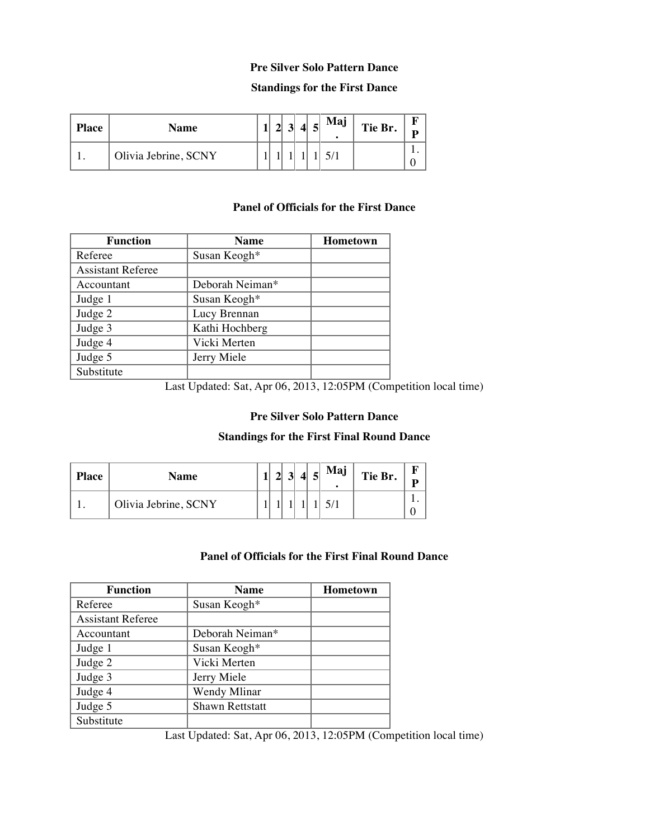#### **Pre Silver Solo Pattern Dance**

#### **Standings for the First Dance**

| <b>Place</b> | <b>Name</b>          |  | 4 | 5 | Maj | Tie Br. |  |
|--------------|----------------------|--|---|---|-----|---------|--|
|              | Olivia Jebrine, SCNY |  |   |   |     |         |  |

#### **Panel of Officials for the First Dance**

| <b>Function</b>          | <b>Name</b>     | <b>Hometown</b> |
|--------------------------|-----------------|-----------------|
| Referee                  | Susan Keogh*    |                 |
| <b>Assistant Referee</b> |                 |                 |
| Accountant               | Deborah Neiman* |                 |
| Judge 1                  | Susan Keogh*    |                 |
| Judge 2                  | Lucy Brennan    |                 |
| Judge 3                  | Kathi Hochberg  |                 |
| Judge 4                  | Vicki Merten    |                 |
| Judge 5                  | Jerry Miele     |                 |
| Substitute               |                 |                 |

Last Updated: Sat, Apr 06, 2013, 12:05PM (Competition local time)

### **Pre Silver Solo Pattern Dance**

#### **Standings for the First Final Round Dance**

| <b>Place</b> | Name                 |  |  | 5 | Maj | Tie Br. |  |
|--------------|----------------------|--|--|---|-----|---------|--|
|              | Olivia Jebrine, SCNY |  |  |   |     |         |  |

### **Panel of Officials for the First Final Round Dance**

| <b>Function</b>          | <b>Name</b>            | <b>Hometown</b> |
|--------------------------|------------------------|-----------------|
| Referee                  | Susan Keogh*           |                 |
| <b>Assistant Referee</b> |                        |                 |
| Accountant               | Deborah Neiman*        |                 |
| Judge 1                  | Susan Keogh*           |                 |
| Judge 2                  | Vicki Merten           |                 |
| Judge 3                  | Jerry Miele            |                 |
| Judge 4                  | Wendy Mlinar           |                 |
| Judge 5                  | <b>Shawn Rettstatt</b> |                 |
| Substitute               |                        |                 |

Last Updated: Sat, Apr 06, 2013, 12:05PM (Competition local time)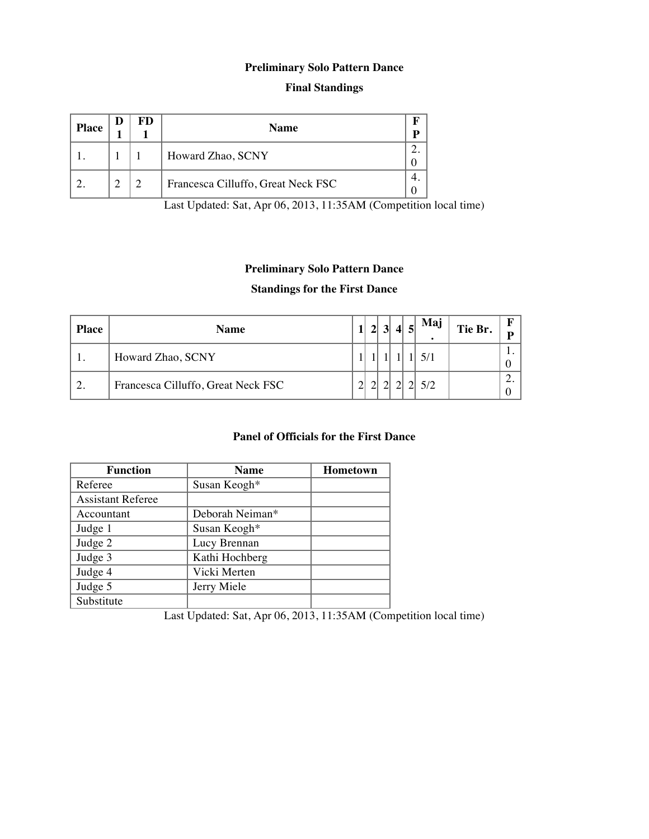# **Preliminary Solo Pattern Dance**

### **Final Standings**

| <b>Place</b> | D | FD | <b>Name</b>                        | ח |
|--------------|---|----|------------------------------------|---|
|              |   |    | Howard Zhao, SCNY                  |   |
|              |   |    | Francesca Cilluffo, Great Neck FSC |   |

Last Updated: Sat, Apr 06, 2013, 11:35AM (Competition local time)

# **Preliminary Solo Pattern Dance**

### **Standings for the First Dance**

| <b>Place</b> | <b>Name</b>                        |        | $\overline{2}$ | $\vert 3 \vert$ | $\vert$ | $\vert$ | Mai<br>$\bullet$ | Tie Br. | D   |
|--------------|------------------------------------|--------|----------------|-----------------|---------|---------|------------------|---------|-----|
|              | Howard Zhao, SCNY                  |        |                |                 |         |         |                  |         | . . |
| <u>L</u> .   | Francesca Cilluffo, Great Neck FSC | $\sim$ |                |                 |         |         |                  |         | ـ _ |

# **Panel of Officials for the First Dance**

| <b>Function</b>          | <b>Name</b>     | <b>Hometown</b> |
|--------------------------|-----------------|-----------------|
| Referee                  | Susan Keogh*    |                 |
| <b>Assistant Referee</b> |                 |                 |
| Accountant               | Deborah Neiman* |                 |
| Judge 1                  | Susan Keogh*    |                 |
| Judge 2                  | Lucy Brennan    |                 |
| Judge 3                  | Kathi Hochberg  |                 |
| Judge 4                  | Vicki Merten    |                 |
| Judge 5                  | Jerry Miele     |                 |
| Substitute               |                 |                 |

Last Updated: Sat, Apr 06, 2013, 11:35AM (Competition local time)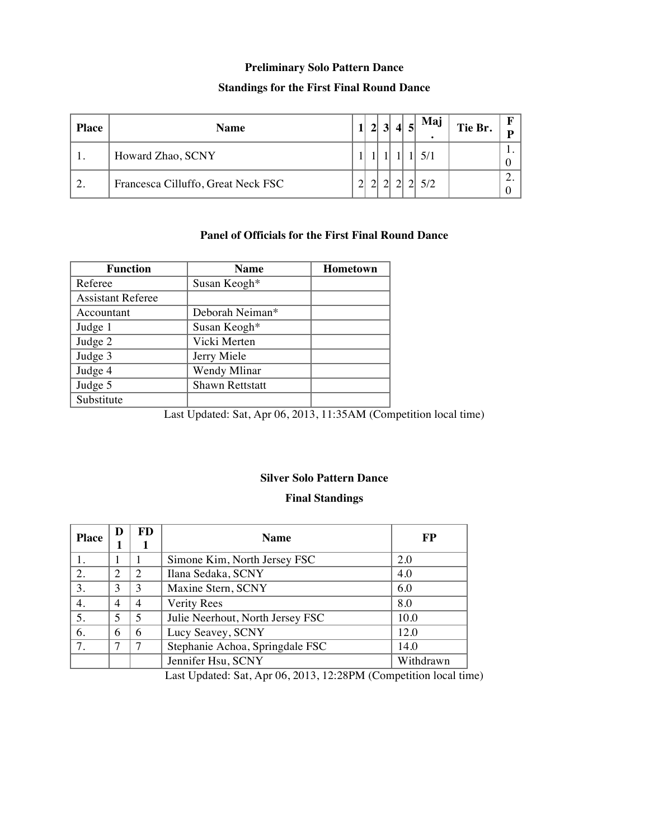#### **Preliminary Solo Pattern Dance**

## **Standings for the First Final Round Dance**

| <b>Place</b> | <b>Name</b>                        |        | $\overline{2}$ | $\overline{\mathbf{3}}$ | $\vert$ | $\vert$ 5 $\vert$ | Mai<br>٠ | Tie Br. | D   |
|--------------|------------------------------------|--------|----------------|-------------------------|---------|-------------------|----------|---------|-----|
|              | Howard Zhao, SCNY                  |        |                |                         |         |                   |          |         | . . |
| ٠.           | Francesca Cilluffo, Great Neck FSC | $\sim$ |                |                         |         |                   |          |         | ٠.  |

# **Panel of Officials for the First Final Round Dance**

| <b>Function</b>          | <b>Name</b>            | <b>Hometown</b> |
|--------------------------|------------------------|-----------------|
| Referee                  | Susan Keogh*           |                 |
| <b>Assistant Referee</b> |                        |                 |
| Accountant               | Deborah Neiman*        |                 |
| Judge 1                  | Susan Keogh*           |                 |
| Judge 2                  | Vicki Merten           |                 |
| Judge 3                  | Jerry Miele            |                 |
| Judge 4                  | Wendy Mlinar           |                 |
| Judge 5                  | <b>Shawn Rettstatt</b> |                 |
| Substitute               |                        |                 |

Last Updated: Sat, Apr 06, 2013, 11:35AM (Competition local time)

#### **Silver Solo Pattern Dance**

#### **Final Standings**

| <b>Place</b> | D                        | FD                          | <b>Name</b>                      | FP        |
|--------------|--------------------------|-----------------------------|----------------------------------|-----------|
|              |                          |                             | Simone Kim, North Jersey FSC     | 2.0       |
| 2.           | $\overline{c}$           | $\mathcal{D}_{\mathcal{L}}$ | Ilana Sedaka, SCNY               | 4.0       |
| 3.           | 3                        | 3                           | Maxine Stern, SCNY               | 6.0       |
| 4.           | $\overline{4}$           | $\overline{4}$              | Verity Rees                      | 8.0       |
| 5.           | $\overline{\mathcal{L}}$ | 5                           | Julie Neerhout, North Jersey FSC | 10.0      |
| 6.           | 6                        | 6                           | Lucy Seavey, SCNY                | 12.0      |
| 7.           | 7                        | 7                           | Stephanie Achoa, Springdale FSC  | 14.0      |
|              |                          |                             | Jennifer Hsu, SCNY               | Withdrawn |

Last Updated: Sat, Apr 06, 2013, 12:28PM (Competition local time)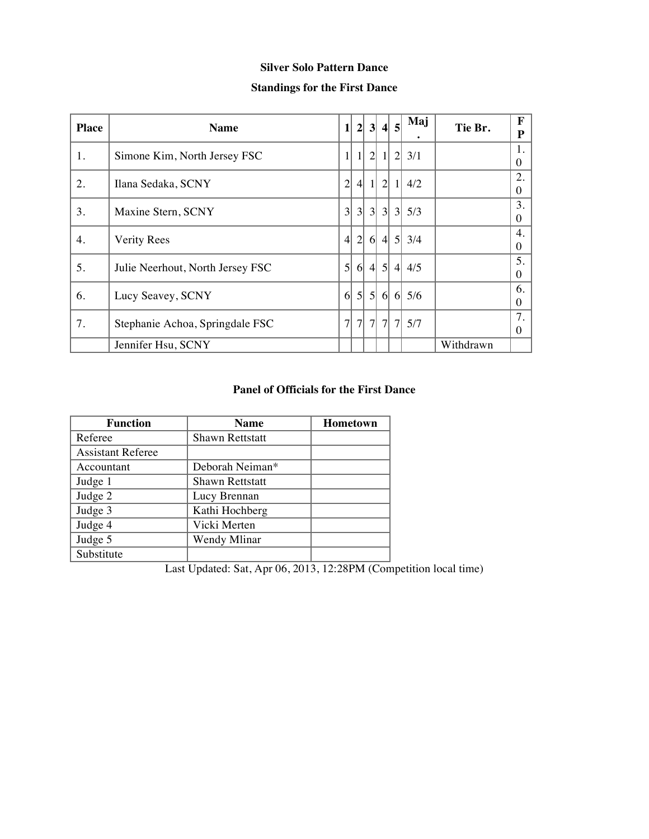# **Silver Solo Pattern Dance**

### **Standings for the First Dance**

| <b>Place</b> | <b>Name</b>                      | $1\vert$        | $2\vert$         | 3 <sup>l</sup>   | $\vert$        | $\overline{5}$ | Maj     | Tie Br.   | F<br>P         |
|--------------|----------------------------------|-----------------|------------------|------------------|----------------|----------------|---------|-----------|----------------|
| 1.           | Simone Kim, North Jersey FSC     |                 | $1\vert$         | $\overline{2}$   | 11             | $\overline{2}$ | 3/1     |           | 1.<br>$\theta$ |
| 2.           | Ilana Sedaka, SCNY               | $\overline{2}$  | $\left 4\right $ | $1\vert$         | $\overline{2}$ | 11             | 4/2     |           | 2.<br>$\Omega$ |
| 3.           | Maxine Stern, SCNY               | 3               | $\vert 3 \vert$  | 3 <sup>l</sup>   |                | 3 3            | 5/3     |           | 3.<br>0        |
| 4.           | <b>Verity Rees</b>               | $\vert 4 \vert$ | $\overline{2}$   | $6 \mid$         |                |                | 4 5 3/4 |           | 4.<br>$\Omega$ |
| 5.           | Julie Neerhout, North Jersey FSC | 5 <sup>1</sup>  | 6 <sup>1</sup>   | $\left 4\right $ | $\mathfrak{h}$ | 4 <sup>1</sup> | 4/5     |           | 5.<br>$\Omega$ |
| 6.           | Lucy Seavey, SCNY                | 6 <sup>l</sup>  | 5 <sup>l</sup>   | $\mathfrak{h}$   | 6              | 6              | 5/6     |           | 6.<br>$\Omega$ |
| 7.           | Stephanie Achoa, Springdale FSC  | $\overline{7}$  | 7 <sup>1</sup>   | 7 <sup>1</sup>   | 7 <sup>1</sup> |                | 7 5/7   |           | 7.<br>$\Omega$ |
|              | Jennifer Hsu, SCNY               |                 |                  |                  |                |                |         | Withdrawn |                |

### **Panel of Officials for the First Dance**

| <b>Function</b>          | <b>Name</b>            | <b>Hometown</b> |  |  |  |
|--------------------------|------------------------|-----------------|--|--|--|
| Referee                  | <b>Shawn Rettstatt</b> |                 |  |  |  |
| <b>Assistant Referee</b> |                        |                 |  |  |  |
| Accountant               | Deborah Neiman*        |                 |  |  |  |
| Judge 1                  | <b>Shawn Rettstatt</b> |                 |  |  |  |
| Judge 2                  | Lucy Brennan           |                 |  |  |  |
| Judge 3                  | Kathi Hochberg         |                 |  |  |  |
| Judge 4                  | Vicki Merten           |                 |  |  |  |
| Judge 5                  | Wendy Mlinar           |                 |  |  |  |
| Substitute               |                        |                 |  |  |  |

Last Updated: Sat, Apr 06, 2013, 12:28PM (Competition local time)